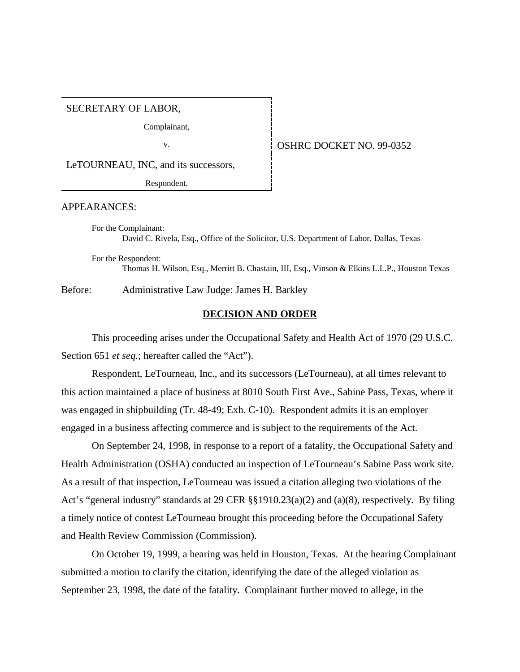#### SECRETARY OF LABOR,

Complainant,

## v. **SEPTER SERVICE DOCKET NO. 99-0352**

LeTOURNEAU, INC, and its successors,

Respondent.

#### APPEARANCES:

For the Complainant: David C. Rivela, Esq., Office of the Solicitor, U.S. Department of Labor, Dallas, Texas

For the Respondent: Thomas H. Wilson, Esq., Merritt B. Chastain, III, Esq., Vinson & Elkins L.L.P., Houston Texas

Before: Administrative Law Judge: James H. Barkley

# **DECISION AND ORDER**

This proceeding arises under the Occupational Safety and Health Act of 1970 (29 U.S.C. Section 651 *et seq.*; hereafter called the "Act").

Respondent, LeTourneau, Inc., and its successors (LeTourneau), at all times relevant to this action maintained a place of business at 8010 South First Ave., Sabine Pass, Texas, where it was engaged in shipbuilding (Tr. 48-49; Exh. C-10). Respondent admits it is an employer engaged in a business affecting commerce and is subject to the requirements of the Act.

On September 24, 1998, in response to a report of a fatality, the Occupational Safety and Health Administration (OSHA) conducted an inspection of LeTourneau's Sabine Pass work site. As a result of that inspection, LeTourneau was issued a citation alleging two violations of the Act's "general industry" standards at 29 CFR §§1910.23(a)(2) and (a)(8), respectively. By filing a timely notice of contest LeTourneau brought this proceeding before the Occupational Safety and Health Review Commission (Commission).

On October 19, 1999, a hearing was held in Houston, Texas. At the hearing Complainant submitted a motion to clarify the citation, identifying the date of the alleged violation as September 23, 1998, the date of the fatality. Complainant further moved to allege, in the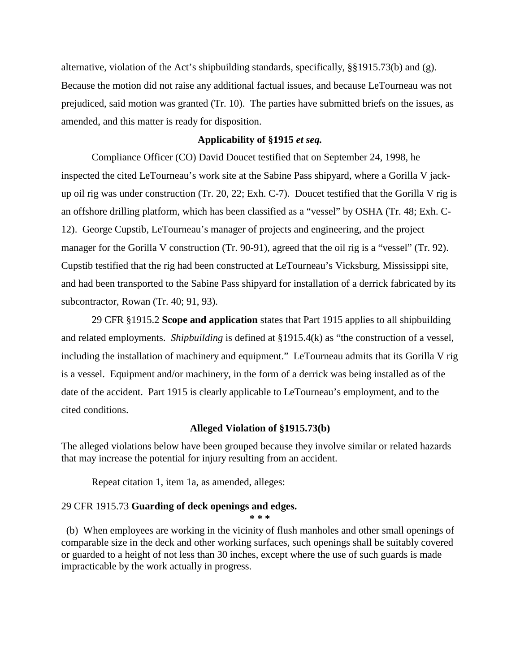alternative, violation of the Act's shipbuilding standards, specifically, §§1915.73(b) and (g). Because the motion did not raise any additional factual issues, and because LeTourneau was not prejudiced, said motion was granted (Tr. 10). The parties have submitted briefs on the issues, as amended, and this matter is ready for disposition.

## **Applicability of §1915** *et seq.*

Compliance Officer (CO) David Doucet testified that on September 24, 1998, he inspected the cited LeTourneau's work site at the Sabine Pass shipyard, where a Gorilla V jackup oil rig was under construction (Tr. 20, 22; Exh. C-7). Doucet testified that the Gorilla V rig is an offshore drilling platform, which has been classified as a "vessel" by OSHA (Tr. 48; Exh. C-12). George Cupstib, LeTourneau's manager of projects and engineering, and the project manager for the Gorilla V construction (Tr. 90-91), agreed that the oil rig is a "vessel" (Tr. 92). Cupstib testified that the rig had been constructed at LeTourneau's Vicksburg, Mississippi site, and had been transported to the Sabine Pass shipyard for installation of a derrick fabricated by its subcontractor, Rowan (Tr. 40; 91, 93).

29 CFR §1915.2 **Scope and application** states that Part 1915 applies to all shipbuilding and related employments. *Shipbuilding* is defined at §1915.4(k) as "the construction of a vessel, including the installation of machinery and equipment." LeTourneau admits that its Gorilla V rig is a vessel. Equipment and/or machinery, in the form of a derrick was being installed as of the date of the accident. Part 1915 is clearly applicable to LeTourneau's employment, and to the cited conditions.

#### **Alleged Violation of §1915.73(b)**

The alleged violations below have been grouped because they involve similar or related hazards that may increase the potential for injury resulting from an accident.

Repeat citation 1, item 1a, as amended, alleges:

## 29 CFR 1915.73 **Guarding of deck openings and edges.**

 (b) When employees are working in the vicinity of flush manholes and other small openings of comparable size in the deck and other working surfaces, such openings shall be suitably covered or guarded to a height of not less than 30 inches, except where the use of such guards is made impracticable by the work actually in progress.

**\* \* \***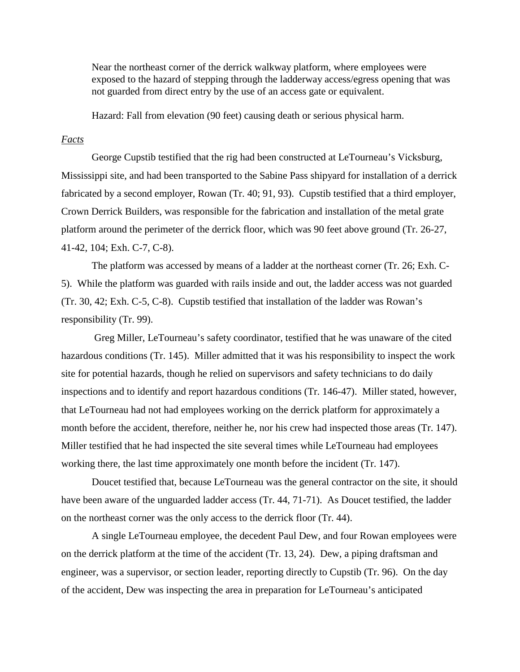Near the northeast corner of the derrick walkway platform, where employees were exposed to the hazard of stepping through the ladderway access/egress opening that was not guarded from direct entry by the use of an access gate or equivalent.

Hazard: Fall from elevation (90 feet) causing death or serious physical harm.

# *Facts*

George Cupstib testified that the rig had been constructed at LeTourneau's Vicksburg, Mississippi site, and had been transported to the Sabine Pass shipyard for installation of a derrick fabricated by a second employer, Rowan (Tr. 40; 91, 93). Cupstib testified that a third employer, Crown Derrick Builders, was responsible for the fabrication and installation of the metal grate platform around the perimeter of the derrick floor, which was 90 feet above ground (Tr. 26-27, 41-42, 104; Exh. C-7, C-8).

The platform was accessed by means of a ladder at the northeast corner (Tr. 26; Exh. C-5). While the platform was guarded with rails inside and out, the ladder access was not guarded (Tr. 30, 42; Exh. C-5, C-8). Cupstib testified that installation of the ladder was Rowan's responsibility (Tr. 99).

 Greg Miller, LeTourneau's safety coordinator, testified that he was unaware of the cited hazardous conditions (Tr. 145). Miller admitted that it was his responsibility to inspect the work site for potential hazards, though he relied on supervisors and safety technicians to do daily inspections and to identify and report hazardous conditions (Tr. 146-47). Miller stated, however, that LeTourneau had not had employees working on the derrick platform for approximately a month before the accident, therefore, neither he, nor his crew had inspected those areas (Tr. 147). Miller testified that he had inspected the site several times while LeTourneau had employees working there, the last time approximately one month before the incident (Tr. 147).

Doucet testified that, because LeTourneau was the general contractor on the site, it should have been aware of the unguarded ladder access (Tr. 44, 71-71). As Doucet testified, the ladder on the northeast corner was the only access to the derrick floor (Tr. 44).

A single LeTourneau employee, the decedent Paul Dew, and four Rowan employees were on the derrick platform at the time of the accident (Tr. 13, 24). Dew, a piping draftsman and engineer, was a supervisor, or section leader, reporting directly to Cupstib (Tr. 96). On the day of the accident, Dew was inspecting the area in preparation for LeTourneau's anticipated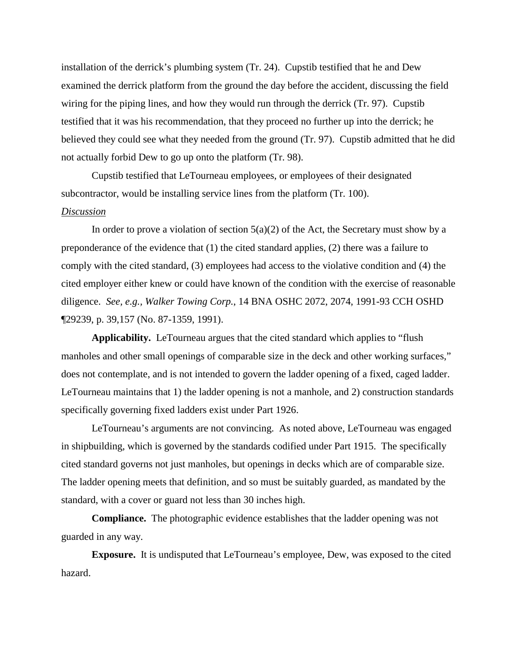installation of the derrick's plumbing system (Tr. 24). Cupstib testified that he and Dew examined the derrick platform from the ground the day before the accident, discussing the field wiring for the piping lines, and how they would run through the derrick (Tr. 97). Cupstib testified that it was his recommendation, that they proceed no further up into the derrick; he believed they could see what they needed from the ground (Tr. 97). Cupstib admitted that he did not actually forbid Dew to go up onto the platform (Tr. 98).

Cupstib testified that LeTourneau employees, or employees of their designated subcontractor, would be installing service lines from the platform (Tr. 100).

# *Discussion*

In order to prove a violation of section  $5(a)(2)$  of the Act, the Secretary must show by a preponderance of the evidence that (1) the cited standard applies, (2) there was a failure to comply with the cited standard, (3) employees had access to the violative condition and (4) the cited employer either knew or could have known of the condition with the exercise of reasonable diligence. *See, e.g., Walker Towing Corp.*, 14 BNA OSHC 2072, 2074, 1991-93 CCH OSHD ¶29239, p. 39,157 (No. 87-1359, 1991).

**Applicability.** LeTourneau argues that the cited standard which applies to "flush manholes and other small openings of comparable size in the deck and other working surfaces," does not contemplate, and is not intended to govern the ladder opening of a fixed, caged ladder. LeTourneau maintains that 1) the ladder opening is not a manhole, and 2) construction standards specifically governing fixed ladders exist under Part 1926.

LeTourneau's arguments are not convincing. As noted above, LeTourneau was engaged in shipbuilding, which is governed by the standards codified under Part 1915. The specifically cited standard governs not just manholes, but openings in decks which are of comparable size. The ladder opening meets that definition, and so must be suitably guarded, as mandated by the standard, with a cover or guard not less than 30 inches high.

**Compliance.** The photographic evidence establishes that the ladder opening was not guarded in any way.

**Exposure.** It is undisputed that LeTourneau's employee, Dew, was exposed to the cited hazard.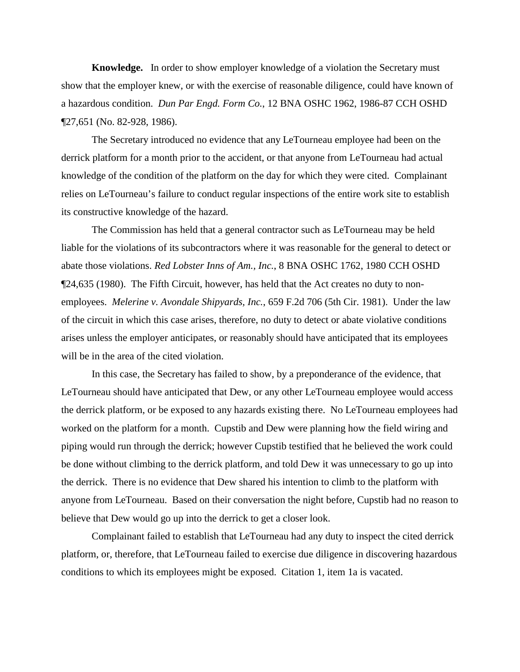**Knowledge.** In order to show employer knowledge of a violation the Secretary must show that the employer knew, or with the exercise of reasonable diligence, could have known of a hazardous condition. *Dun Par Engd. Form Co.*, 12 BNA OSHC 1962, 1986-87 CCH OSHD ¶27,651 (No. 82-928, 1986).

The Secretary introduced no evidence that any LeTourneau employee had been on the derrick platform for a month prior to the accident, or that anyone from LeTourneau had actual knowledge of the condition of the platform on the day for which they were cited. Complainant relies on LeTourneau's failure to conduct regular inspections of the entire work site to establish its constructive knowledge of the hazard.

The Commission has held that a general contractor such as LeTourneau may be held liable for the violations of its subcontractors where it was reasonable for the general to detect or abate those violations. *Red Lobster Inns of Am., Inc.*, 8 BNA OSHC 1762, 1980 CCH OSHD ¶24,635 (1980). The Fifth Circuit, however, has held that the Act creates no duty to nonemployees. *Melerine v. Avondale Shipyards, Inc.*, 659 F.2d 706 (5th Cir. 1981). Under the law of the circuit in which this case arises, therefore, no duty to detect or abate violative conditions arises unless the employer anticipates, or reasonably should have anticipated that its employees will be in the area of the cited violation.

In this case, the Secretary has failed to show, by a preponderance of the evidence, that LeTourneau should have anticipated that Dew, or any other LeTourneau employee would access the derrick platform, or be exposed to any hazards existing there. No LeTourneau employees had worked on the platform for a month. Cupstib and Dew were planning how the field wiring and piping would run through the derrick; however Cupstib testified that he believed the work could be done without climbing to the derrick platform, and told Dew it was unnecessary to go up into the derrick. There is no evidence that Dew shared his intention to climb to the platform with anyone from LeTourneau. Based on their conversation the night before, Cupstib had no reason to believe that Dew would go up into the derrick to get a closer look.

Complainant failed to establish that LeTourneau had any duty to inspect the cited derrick platform, or, therefore, that LeTourneau failed to exercise due diligence in discovering hazardous conditions to which its employees might be exposed. Citation 1, item 1a is vacated.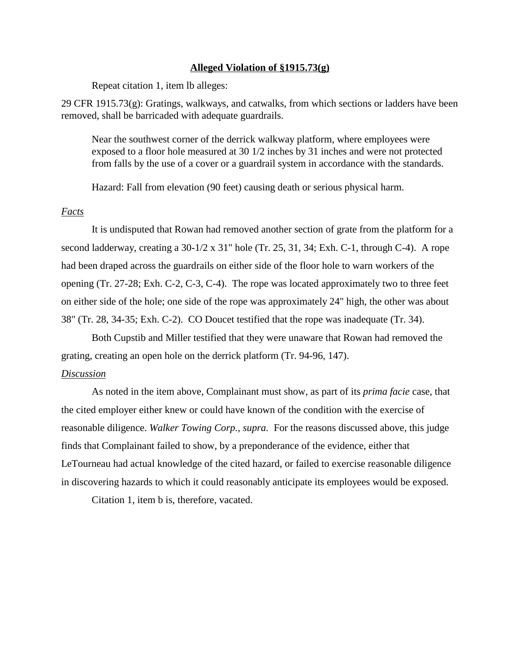#### **Alleged Violation of §1915.73(g)**

Repeat citation 1, item lb alleges:

29 CFR 1915.73(g): Gratings, walkways, and catwalks, from which sections or ladders have been removed, shall be barricaded with adequate guardrails.

Near the southwest corner of the derrick walkway platform, where employees were exposed to a floor hole measured at 30 1/2 inches by 31 inches and were not protected from falls by the use of a cover or a guardrail system in accordance with the standards.

Hazard: Fall from elevation (90 feet) causing death or serious physical harm.

# *Facts*

It is undisputed that Rowan had removed another section of grate from the platform for a second ladderway, creating a 30-1/2 x 31" hole (Tr. 25, 31, 34; Exh. C-1, through C-4). A rope had been draped across the guardrails on either side of the floor hole to warn workers of the opening (Tr. 27-28; Exh. C-2, C-3, C-4). The rope was located approximately two to three feet on either side of the hole; one side of the rope was approximately 24" high, the other was about 38" (Tr. 28, 34-35; Exh. C-2). CO Doucet testified that the rope was inadequate (Tr. 34).

Both Cupstib and Miller testified that they were unaware that Rowan had removed the grating, creating an open hole on the derrick platform (Tr. 94-96, 147).

# *Discussion*

As noted in the item above, Complainant must show, as part of its *prima facie* case, that the cited employer either knew or could have known of the condition with the exercise of reasonable diligence. *Walker Towing Corp., supra.* For the reasons discussed above, this judge finds that Complainant failed to show, by a preponderance of the evidence, either that LeTourneau had actual knowledge of the cited hazard, or failed to exercise reasonable diligence in discovering hazards to which it could reasonably anticipate its employees would be exposed.

Citation 1, item b is, therefore, vacated.